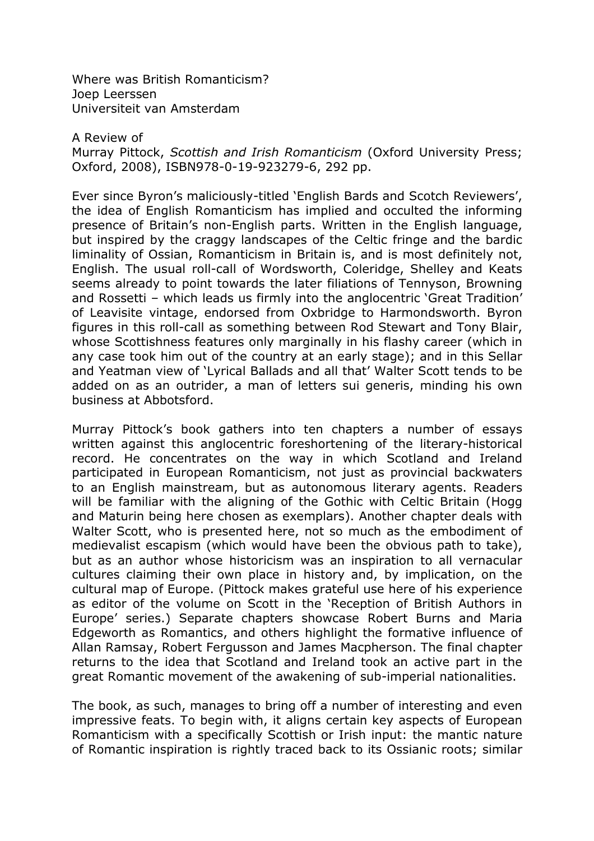Where was British Romanticism? Joep Leerssen Universiteit van Amsterdam

## A Review of

Murray Pittock, Scottish and Irish Romanticism (Oxford University Press; Oxford, 2008), ISBN978-0-19-923279-6, 292 pp.

Ever since Byron's maliciously-titled 'English Bards and Scotch Reviewers', the idea of English Romanticism has implied and occulted the informing presence of Britain's non-English parts. Written in the English language, but inspired by the craggy landscapes of the Celtic fringe and the bardic liminality of Ossian, Romanticism in Britain is, and is most definitely not, English. The usual roll-call of Wordsworth, Coleridge, Shelley and Keats seems already to point towards the later filiations of Tennyson, Browning and Rossetti – which leads us firmly into the anglocentric 'Great Tradition' of Leavisite vintage, endorsed from Oxbridge to Harmondsworth. Byron figures in this roll-call as something between Rod Stewart and Tony Blair, whose Scottishness features only marginally in his flashy career (which in any case took him out of the country at an early stage); and in this Sellar and Yeatman view of 'Lyrical Ballads and all that' Walter Scott tends to be added on as an outrider, a man of letters sui generis, minding his own business at Abbotsford.

Murray Pittock's book gathers into ten chapters a number of essays written against this anglocentric foreshortening of the literary-historical record. He concentrates on the way in which Scotland and Ireland participated in European Romanticism, not just as provincial backwaters to an English mainstream, but as autonomous literary agents. Readers will be familiar with the aligning of the Gothic with Celtic Britain (Hogg and Maturin being here chosen as exemplars). Another chapter deals with Walter Scott, who is presented here, not so much as the embodiment of medievalist escapism (which would have been the obvious path to take), but as an author whose historicism was an inspiration to all vernacular cultures claiming their own place in history and, by implication, on the cultural map of Europe. (Pittock makes grateful use here of his experience as editor of the volume on Scott in the 'Reception of British Authors in Europe' series.) Separate chapters showcase Robert Burns and Maria Edgeworth as Romantics, and others highlight the formative influence of Allan Ramsay, Robert Fergusson and James Macpherson. The final chapter returns to the idea that Scotland and Ireland took an active part in the great Romantic movement of the awakening of sub-imperial nationalities.

The book, as such, manages to bring off a number of interesting and even impressive feats. To begin with, it aligns certain key aspects of European Romanticism with a specifically Scottish or Irish input: the mantic nature of Romantic inspiration is rightly traced back to its Ossianic roots; similar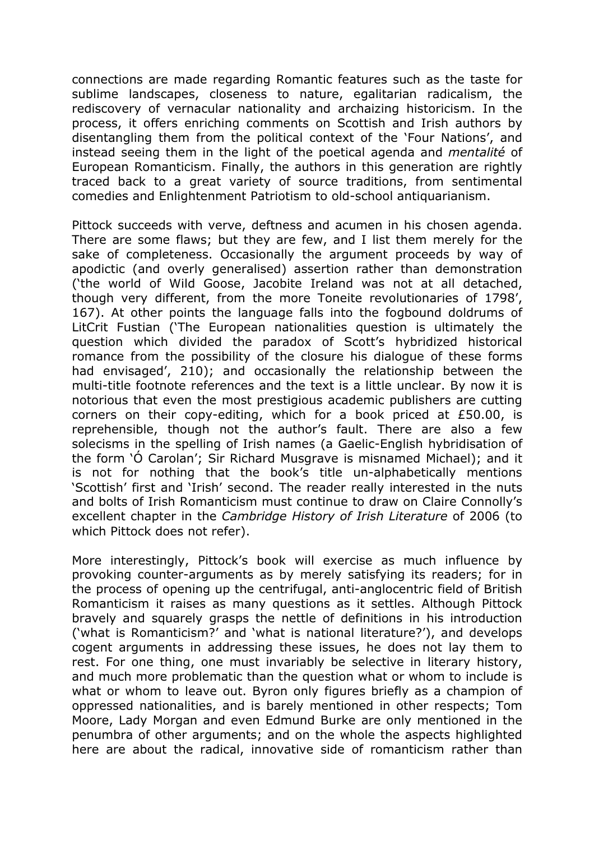connections are made regarding Romantic features such as the taste for sublime landscapes, closeness to nature, egalitarian radicalism, the rediscovery of vernacular nationality and archaizing historicism. In the process, it offers enriching comments on Scottish and Irish authors by disentangling them from the political context of the 'Four Nations', and instead seeing them in the light of the poetical agenda and mentalité of European Romanticism. Finally, the authors in this generation are rightly traced back to a great variety of source traditions, from sentimental comedies and Enlightenment Patriotism to old-school antiquarianism.

Pittock succeeds with verve, deftness and acumen in his chosen agenda. There are some flaws; but they are few, and I list them merely for the sake of completeness. Occasionally the argument proceeds by way of apodictic (and overly generalised) assertion rather than demonstration ('the world of Wild Goose, Jacobite Ireland was not at all detached, though very different, from the more Toneite revolutionaries of 1798', 167). At other points the language falls into the fogbound doldrums of LitCrit Fustian ('The European nationalities question is ultimately the question which divided the paradox of Scott's hybridized historical romance from the possibility of the closure his dialogue of these forms had envisaged', 210); and occasionally the relationship between the multi-title footnote references and the text is a little unclear. By now it is notorious that even the most prestigious academic publishers are cutting corners on their copy-editing, which for a book priced at £50.00, is reprehensible, though not the author's fault. There are also a few solecisms in the spelling of Irish names (a Gaelic-English hybridisation of the form 'Ó Carolan'; Sir Richard Musgrave is misnamed Michael); and it is not for nothing that the book's title un-alphabetically mentions 'Scottish' first and 'Irish' second. The reader really interested in the nuts and bolts of Irish Romanticism must continue to draw on Claire Connolly's excellent chapter in the Cambridge History of Irish Literature of 2006 (to which Pittock does not refer).

More interestingly, Pittock's book will exercise as much influence by provoking counter-arguments as by merely satisfying its readers; for in the process of opening up the centrifugal, anti-anglocentric field of British Romanticism it raises as many questions as it settles. Although Pittock bravely and squarely grasps the nettle of definitions in his introduction ('what is Romanticism?' and 'what is national literature?'), and develops cogent arguments in addressing these issues, he does not lay them to rest. For one thing, one must invariably be selective in literary history, and much more problematic than the question what or whom to include is what or whom to leave out. Byron only figures briefly as a champion of oppressed nationalities, and is barely mentioned in other respects; Tom Moore, Lady Morgan and even Edmund Burke are only mentioned in the penumbra of other arguments; and on the whole the aspects highlighted here are about the radical, innovative side of romanticism rather than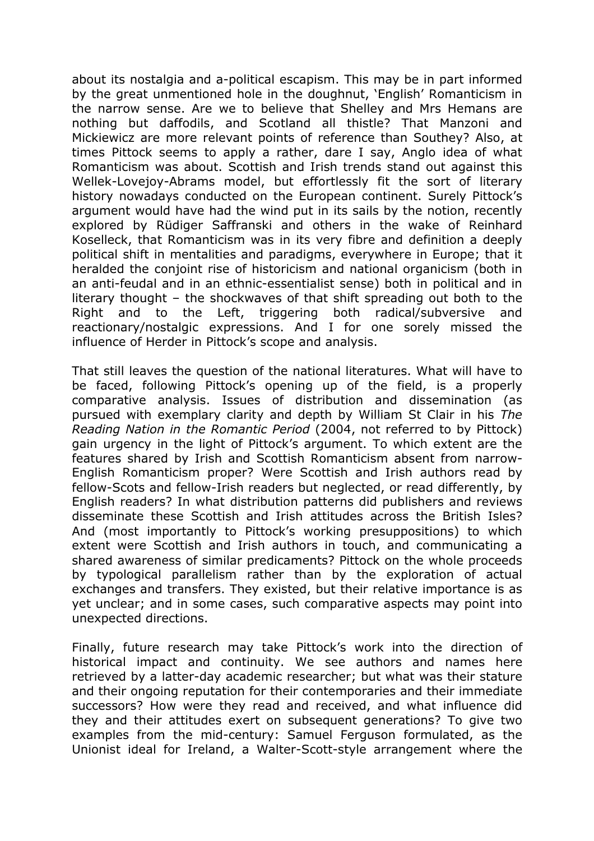about its nostalgia and a-political escapism. This may be in part informed by the great unmentioned hole in the doughnut, 'English' Romanticism in the narrow sense. Are we to believe that Shelley and Mrs Hemans are nothing but daffodils, and Scotland all thistle? That Manzoni and Mickiewicz are more relevant points of reference than Southey? Also, at times Pittock seems to apply a rather, dare I say, Anglo idea of what Romanticism was about. Scottish and Irish trends stand out against this Wellek-Lovejoy-Abrams model, but effortlessly fit the sort of literary history nowadays conducted on the European continent. Surely Pittock's argument would have had the wind put in its sails by the notion, recently explored by Rüdiger Saffranski and others in the wake of Reinhard Koselleck, that Romanticism was in its very fibre and definition a deeply political shift in mentalities and paradigms, everywhere in Europe; that it heralded the conjoint rise of historicism and national organicism (both in an anti-feudal and in an ethnic-essentialist sense) both in political and in literary thought – the shockwaves of that shift spreading out both to the Right and to the Left, triggering both radical/subversive and reactionary/nostalgic expressions. And I for one sorely missed the influence of Herder in Pittock's scope and analysis.

That still leaves the question of the national literatures. What will have to be faced, following Pittock's opening up of the field, is a properly comparative analysis. Issues of distribution and dissemination (as pursued with exemplary clarity and depth by William St Clair in his The Reading Nation in the Romantic Period (2004, not referred to by Pittock) gain urgency in the light of Pittock's argument. To which extent are the features shared by Irish and Scottish Romanticism absent from narrow-English Romanticism proper? Were Scottish and Irish authors read by fellow-Scots and fellow-Irish readers but neglected, or read differently, by English readers? In what distribution patterns did publishers and reviews disseminate these Scottish and Irish attitudes across the British Isles? And (most importantly to Pittock's working presuppositions) to which extent were Scottish and Irish authors in touch, and communicating a shared awareness of similar predicaments? Pittock on the whole proceeds by typological parallelism rather than by the exploration of actual exchanges and transfers. They existed, but their relative importance is as yet unclear; and in some cases, such comparative aspects may point into unexpected directions.

Finally, future research may take Pittock's work into the direction of historical impact and continuity. We see authors and names here retrieved by a latter-day academic researcher; but what was their stature and their ongoing reputation for their contemporaries and their immediate successors? How were they read and received, and what influence did they and their attitudes exert on subsequent generations? To give two examples from the mid-century: Samuel Ferguson formulated, as the Unionist ideal for Ireland, a Walter-Scott-style arrangement where the